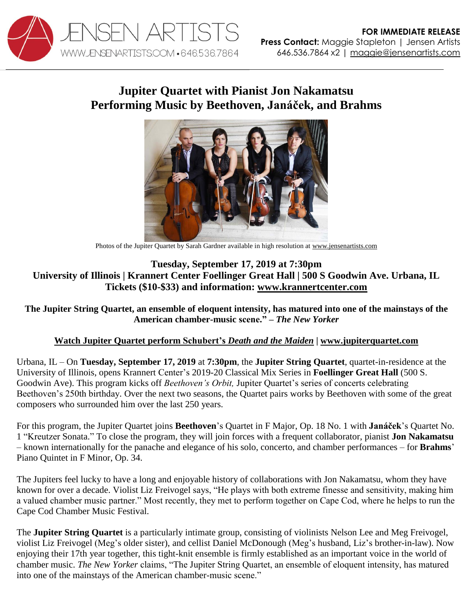

## **Jupiter Quartet with Pianist Jon Nakamatsu Performing Music by Beethoven, Janáček, and Brahms**



Photos of the Jupiter Quartet by Sarah Gardner available in high resolution at [www.jensenartists.com](http://www.jensenartists.com/jupiter-string-quartet)

## **Tuesday, September 17, 2019 at 7:30pm University of Illinois | Krannert Center Foellinger Great Hall | 500 S Goodwin Ave. Urbana, IL Tickets (\$10-\$33) and information: [www.krannertcenter.com](https://krannertcenter.com/events/jupiter-string-quartet-jon-nakamatsu-piano)**

The Jupiter String Quartet, an ensemble of eloquent intensity, has matured into one of the mainstays of the **American chamber-music scene." –** *The New Yorker*

## **Watch Jupiter Quartet perform [Schubert's](https://vimeo.com/115453429)** *Death and the Maiden* **| [www.jupiterquartet.com](http://www.jupiterquartet.com/)**

Urbana, IL – On **Tuesday, September 17, 2019** at **7:30pm**, the **Jupiter String Quartet**, quartet-in-residence at the University of Illinois, opens Krannert Center's 2019-20 Classical Mix Series in **Foellinger Great Hall** (500 S. Goodwin Ave). This program kicks off *Beethoven's Orbit,* Jupiter Quartet's series of concerts celebrating Beethoven's 250th birthday. Over the next two seasons, the Quartet pairs works by Beethoven with some of the great composers who surrounded him over the last 250 years.

For this program, the Jupiter Quartet joins **Beethoven**'s Quartet in F Major, Op. 18 No. 1 with **Janáček**'s Quartet No. 1 "Kreutzer Sonata." To close the program, they will join forces with a frequent collaborator, pianist **Jon Nakamatsu** – known internationally for the panache and elegance of his solo, concerto, and chamber performances – for **Brahms**' Piano Quintet in F Minor, Op. 34.

The Jupiters feel lucky to have a long and enjoyable history of collaborations with Jon Nakamatsu, whom they have known for over a decade. Violist Liz Freivogel says, "He plays with both extreme finesse and sensitivity, making him a valued chamber music partner." Most recently, they met to perform together on Cape Cod, where he helps to run the Cape Cod Chamber Music Festival.

The **Jupiter String Quartet** is a particularly intimate group, consisting of violinists Nelson Lee and Meg Freivogel, violist Liz Freivogel (Meg's older sister), and cellist Daniel McDonough (Meg's husband, Liz's brother-in-law). Now enjoying their 17th year together, this tight-knit ensemble is firmly established as an important voice in the world of chamber music. *The New Yorker* claims, "The Jupiter String Quartet, an ensemble of eloquent intensity, has matured into one of the mainstays of the American chamber-music scene."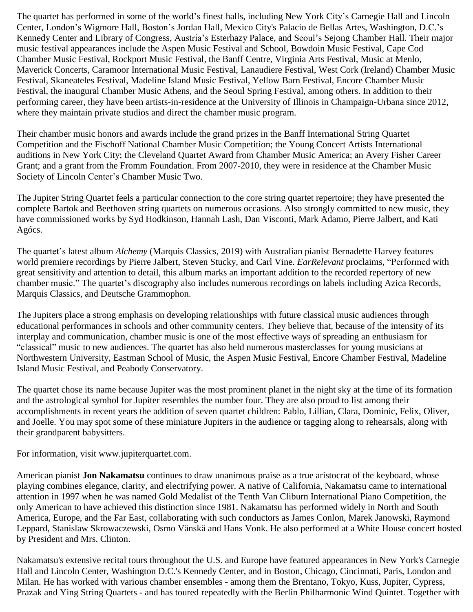The quartet has performed in some of the world's finest halls, including New York City's Carnegie Hall and Lincoln Center, London's Wigmore Hall, Boston's Jordan Hall, Mexico City's Palacio de Bellas Artes, Washington, D.C.'s Kennedy Center and Library of Congress, Austria's Esterhazy Palace, and Seoul's Sejong Chamber Hall. Their major music festival appearances include the Aspen Music Festival and School, Bowdoin Music Festival, Cape Cod Chamber Music Festival, Rockport Music Festival, the Banff Centre, Virginia Arts Festival, Music at Menlo, Maverick Concerts, Caramoor International Music Festival, Lanaudiere Festival, West Cork (Ireland) Chamber Music Festival, Skaneateles Festival, Madeline Island Music Festival, Yellow Barn Festival, Encore Chamber Music Festival, the inaugural Chamber Music Athens, and the Seoul Spring Festival, among others. In addition to their performing career, they have been artists-in-residence at the University of Illinois in Champaign-Urbana since 2012, where they maintain private studios and direct the chamber music program.

Their chamber music honors and awards include the grand prizes in the Banff International String Quartet Competition and the Fischoff National Chamber Music Competition; the Young Concert Artists International auditions in New York City; the Cleveland Quartet Award from Chamber Music America; an Avery Fisher Career Grant; and a grant from the Fromm Foundation. From 2007-2010, they were in residence at the Chamber Music Society of Lincoln Center's Chamber Music Two.

The Jupiter String Quartet feels a particular connection to the core string quartet repertoire; they have presented the complete Bartok and Beethoven string quartets on numerous occasions. Also strongly committed to new music, they have commissioned works by Syd Hodkinson, Hannah Lash, Dan Visconti, Mark Adamo, Pierre Jalbert, and Kati Agócs.

The quartet's latest album *Alchemy* (Marquis Classics, 2019) with Australian pianist Bernadette Harvey features world premiere recordings by Pierre Jalbert, Steven Stucky, and Carl Vine. *EarRelevant* proclaims, "Performed with great sensitivity and attention to detail, this album marks an important addition to the recorded repertory of new chamber music." The quartet's discography also includes numerous recordings on labels including Azica Records, Marquis Classics, and Deutsche Grammophon.

The Jupiters place a strong emphasis on developing relationships with future classical music audiences through educational performances in schools and other community centers. They believe that, because of the intensity of its interplay and communication, chamber music is one of the most effective ways of spreading an enthusiasm for "classical" music to new audiences. The quartet has also held numerous masterclasses for young musicians at Northwestern University, Eastman School of Music, the Aspen Music Festival, Encore Chamber Festival, Madeline Island Music Festival, and Peabody Conservatory.

The quartet chose its name because Jupiter was the most prominent planet in the night sky at the time of its formation and the astrological symbol for Jupiter resembles the number four. They are also proud to list among their accomplishments in recent years the addition of seven quartet children: Pablo, Lillian, Clara, Dominic, Felix, Oliver, and Joelle. You may spot some of these miniature Jupiters in the audience or tagging along to rehearsals, along with their grandparent babysitters.

For information, visit [www.jupiterquartet.com.](http://www.jupiterquartet.com/)

American pianist **Jon Nakamatsu** continues to draw unanimous praise as a true aristocrat of the keyboard, whose playing combines elegance, clarity, and electrifying power. A native of California, Nakamatsu came to international attention in 1997 when he was named Gold Medalist of the Tenth Van Cliburn International Piano Competition, the only American to have achieved this distinction since 1981. Nakamatsu has performed widely in North and South America, Europe, and the Far East, collaborating with such conductors as James Conlon, Marek Janowski, Raymond Leppard, Stanislaw Skrowaczewski, Osmo Vänskä and Hans Vonk. He also performed at a White House concert hosted by President and Mrs. Clinton.

Nakamatsu's extensive recital tours throughout the U.S. and Europe have featured appearances in New York's Carnegie Hall and Lincoln Center, Washington D.C.'s Kennedy Center, and in Boston, Chicago, Cincinnati, Paris, London and Milan. He has worked with various chamber ensembles - among them the Brentano, Tokyo, Kuss, Jupiter, Cypress, Prazak and Ying String Quartets - and has toured repeatedly with the Berlin Philharmonic Wind Quintet. Together with